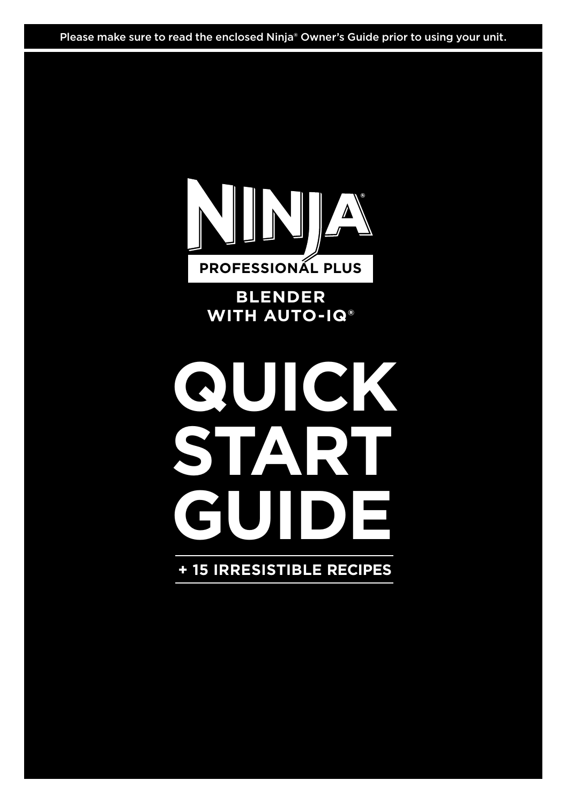Please make sure to read the enclosed Ninja® Owner's Guide prior to using your unit.



**BLENDER WITH AUTO-IQ®**

# **QUICK**<br>START **START GUIDE**

**+ 15 IRRESISTIBLE RECIPES**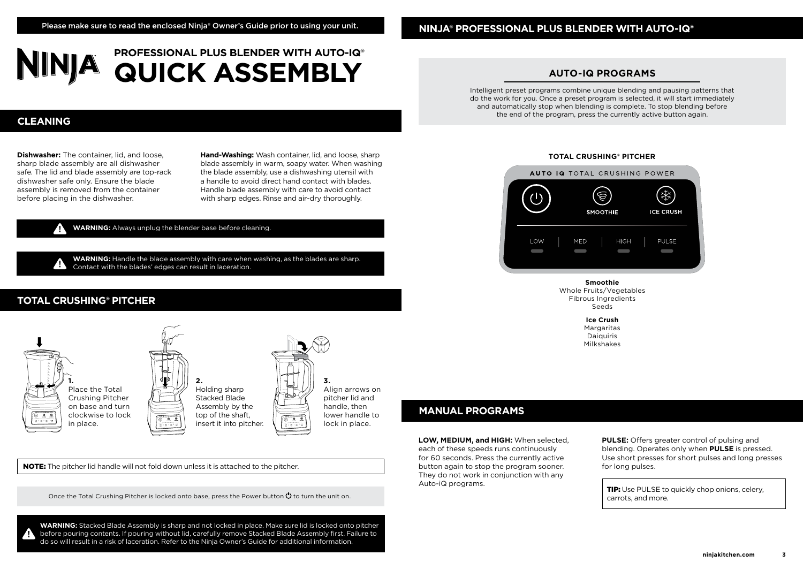#### **NINJA® PROFESSIONAL PLUS BLENDER WITH AUTO-IQ®**

### **PROFESSIONAL PLUS BLENDER WITH AUTO-IQ® QUICK ASSEMBLY**

#### **AUTO-IQ PROGRAMS**

Intelligent preset programs combine unique blending and pausing patterns that do the work for you. Once a preset program is selected, it will start immediately and automatically stop when blending is complete. To stop blending before the end of the program, press the currently active button again.

#### **TOTAL CRUSHING® PITCHER**



**Smoothie** Whole Fruits/Vegetables Fibrous Ingredients Seeds

**Ice Crush Margaritas** Daiquiris Milkshakes

### **Dishwasher:** The container, lid, and loose, sharp blade assembly are all dishwasher safe. The lid and blade assembly are top-rack

dishwasher safe only. Ensure the blade assembly is removed from the container before placing in the dishwasher.

**CLEANING**

**Hand-Washing:** Wash container, lid, and loose, sharp blade assembly in warm, soapy water. When washing the blade assembly, use a dishwashing utensil with a handle to avoid direct hand contact with blades. Handle blade assembly with care to avoid contact with sharp edges. Rinse and air-dry thoroughly.

**WARNING:** Always unplug the blender base before cleaning.

**WARNING:** Handle the blade assembly with care when washing, as the blades are sharp. Contact with the blades' edges can result in laceration.

#### **TOTAL CRUSHING® PITCHER**



NOTE: The pitcher lid handle will not fold down unless it is attached to the pitcher.

Once the Total Crushing Pitcher is locked onto base, press the Power button  $\bigcirc$  to turn the unit on.

**WARNING:** Stacked Blade Assembly is sharp and not locked in place. Make sure lid is locked onto pitcher before pouring contents. If pouring without lid, carefully remove Stacked Blade Assembly first. Failure to do so will result in a risk of laceration. Refer to the Ninja Owner's Guide for additional information.

#### **MANUAL PROGRAMS**

**LOW, MEDIUM, and HIGH:** When selected, each of these speeds runs continuously for 60 seconds. Press the currently active button again to stop the program sooner. They do not work in conjunction with any Auto-iQ programs.

**PULSE:** Offers greater control of pulsing and blending. Operates only when **PULSE** is pressed. Use short presses for short pulses and long presses for long pulses.

**TIP:** Use PULSE to quickly chop onions, celery, carrots, and more.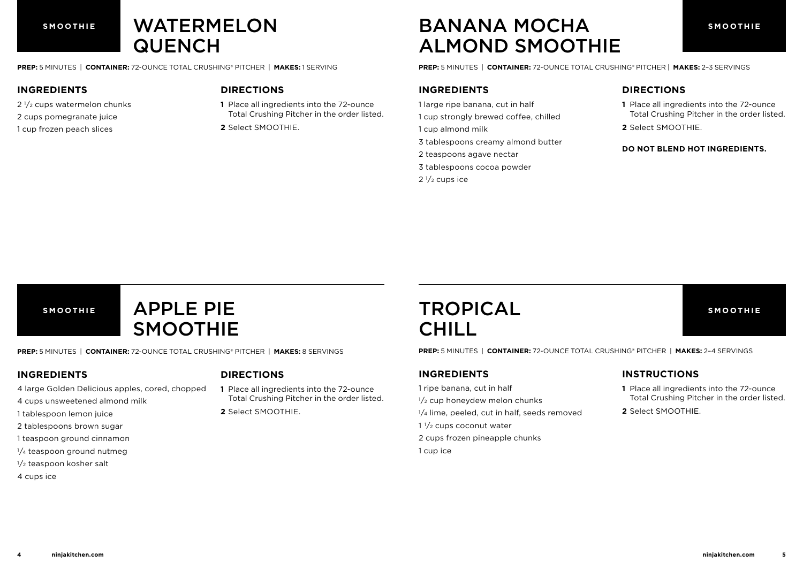### WATERMELON **QUENCH**

**PREP:** 5 MINUTES | **CONTAINER:** 72-OUNCE TOTAL CRUSHING® PITCHER | **MAKES:** 1 SERVING

#### **INGREDIENTS**

2 1/2 cups watermelon chunks 2 cups pomegranate juice 1 cup frozen peach slices

#### **DIRECTIONS**

**1** Place all ingredients into the 72-ounce Total Crushing Pitcher in the order listed. **2** Select SMOOTHIE.

### **SMOOTHIE SMOOTHIE** BANANA MOCHA ALMOND SMOOTHIE

**PREP:** 5 MINUTES | **CONTAINER:** 72-OUNCE TOTAL CRUSHING® PITCHER | **MAKES:** 2–3 SERVINGS

#### **INGREDIENTS**

- 1 large ripe banana, cut in half
- 1 cup strongly brewed coffee, chilled
- 1 cup almond milk
- 3 tablespoons creamy almond butter
- 2 teaspoons agave nectar
- 3 tablespoons cocoa powder
- $2\frac{1}{2}$  cups ice

#### **DIRECTIONS**

- **1** Place all ingredients into the 72-ounce Total Crushing Pitcher in the order listed.
- **2** Select SMOOTHIE.

#### **DO NOT BLEND HOT INGREDIENTS.**

### **SMOOTHIE SMOOTHIE** APPLE PIE SMOOTHIE

**PREP:** 5 MINUTES | **CONTAINER:** 72-OUNCE TOTAL CRUSHING® PITCHER | **MAKES:** 8 SERVINGS

#### **INGREDIENTS**

#### **DIRECTIONS**

- 4 large Golden Delicious apples, cored, chopped
- 4 cups unsweetened almond milk
- 1 tablespoon lemon juice
- 2 tablespoons brown sugar
- 1 teaspoon ground cinnamon
- <sup>1</sup>/<sub>4</sub> teaspoon ground nutmeg
- 1/<sub>2</sub> teaspoon kosher salt
- 4 cups ice
- **1** Place all ingredients into the 72-ounce
- Total Crushing Pitcher in the order listed. **2** Select SMOOTHIE.

### TROPICAL **CHILL**

**PREP:** 5 MINUTES | **CONTAINER:** 72-OUNCE TOTAL CRUSHING® PITCHER | **MAKES:** 2–4 SERVINGS

#### **INGREDIENTS**

- 1 ripe banana, cut in half
- $1/2$  cup honeydew melon chunks
- $1/4$  lime, peeled, cut in half, seeds removed
- $1\frac{1}{2}$  cups coconut water
- 2 cups frozen pineapple chunks
- 1 cup ice

#### **INSTRUCTIONS**

- **1** Place all ingredients into the 72-ounce Total Crushing Pitcher in the order listed.
- **2** Select SMOOTHIE.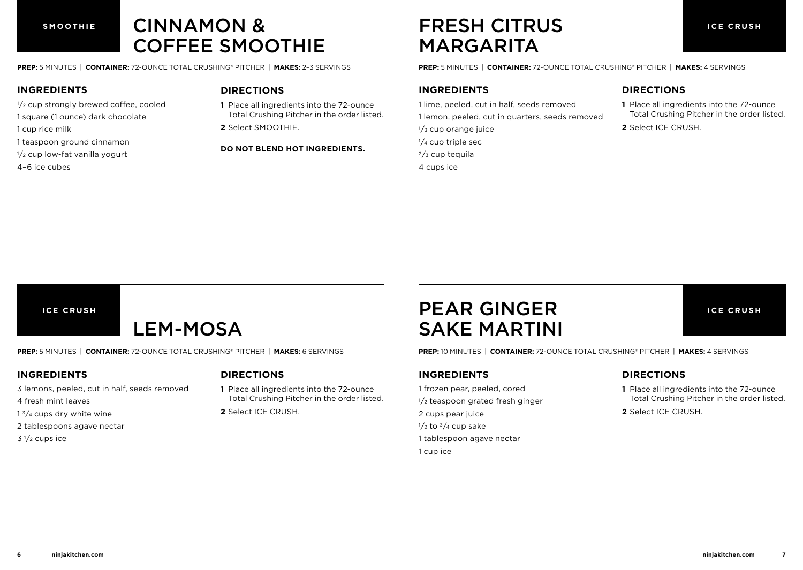**SMOOTHIE**

### CINNAMON & COFFEE SMOOTHIE

**PREP:** 5 MINUTES | **CONTAINER:** 72-OUNCE TOTAL CRUSHING® PITCHER | **MAKES:** 2–3 SERVINGS

#### **INGREDIENTS**

- $1/2$  cup strongly brewed coffee, cooled
- 1 square (1 ounce) dark chocolate
- 1 cup rice milk
- 1 teaspoon ground cinnamon
- $1/2$  cup low-fat vanilla yogurt
- 4–6 ice cubes

#### **DIRECTIONS**

- **1** Place all ingredients into the 72-ounce Total Crushing Pitcher in the order listed.
- **2** Select SMOOTHIE.

#### **DO NOT BLEND HOT INGREDIENTS.**

### FRESH CITRUS MARGARITA

**PREP:** 5 MINUTES | **CONTAINER:** 72-OUNCE TOTAL CRUSHING® PITCHER | **MAKES:** 4 SERVINGS

#### **INGREDIENTS**

- 1 lime, peeled, cut in half, seeds removed
- 1 lemon, peeled, cut in quarters, seeds removed
- 1/<sub>3</sub> cup orange juice
- 1/<sub>4</sub> cup triple sec
- $2/3$  cup tequila
- 4 cups ice

#### **DIRECTIONS**

- **1** Place all ingredients into the 72-ounce Total Crushing Pitcher in the order listed.
- **2** Select ICE CRUSH.

#### **ICE CRUSH**

### LEM-MOSA

**PREP:** 5 MINUTES | **CONTAINER:** 72-OUNCE TOTAL CRUSHING® PITCHER | **MAKES:** 6 SERVINGS

#### **INGREDIENTS**

#### **DIRECTIONS**

- 3 lemons, peeled, cut in half, seeds removed
- 4 fresh mint leaves
- $1<sup>3</sup>/4$  cups dry white wine
- 2 tablespoons agave nectar
- $3\frac{1}{2}$  cups ice

**1** Place all ingredients into the 72-ounce Total Crushing Pitcher in the order listed.

**2** Select ICE CRUSH.

### PEAR GINGER SAKE MARTINI

**PREP:** 10 MINUTES | **CONTAINER:** 72-OUNCE TOTAL CRUSHING® PITCHER | **MAKES:** 4 SERVINGS

#### **INGREDIENTS**

- 1 frozen pear, peeled, cored  $1/2$  teaspoon grated fresh ginger 2 cups pear juice  $\frac{1}{2}$  to  $\frac{3}{4}$  cup sake
- 1 tablespoon agave nectar
- 1 cup ice

#### **DIRECTIONS**

**1** Place all ingredients into the 72-ounce Total Crushing Pitcher in the order listed.

**ICE CRUSH**

**2** Select ICE CRUSH.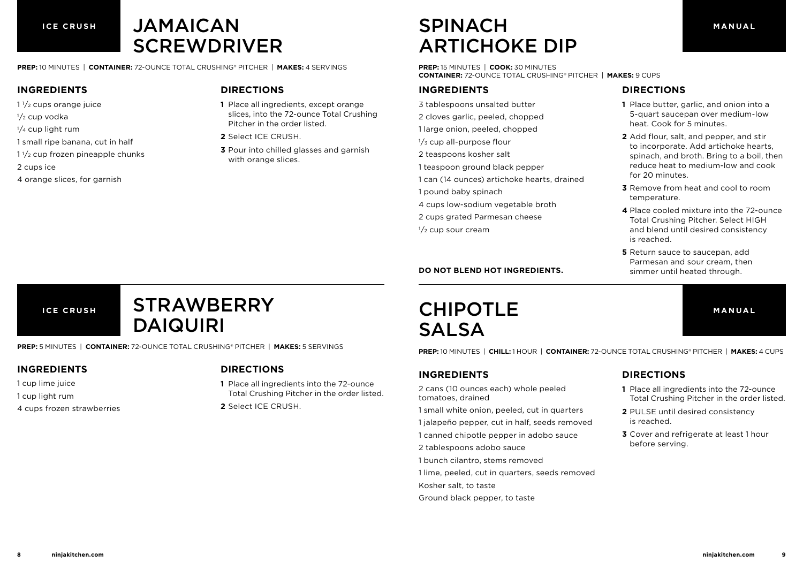### JAMAICAN **SCREWDRIVER**

**PREP:** 10 MINUTES | **CONTAINER:** 72-OUNCE TOTAL CRUSHING® PITCHER | **MAKES:** 4 SERVINGS

#### **INGREDIENTS**

- $1\frac{1}{2}$  cups orange juice
- $1/2$  cup vodka
- 1/<sub>4</sub> cup light rum
- 1 small ripe banana, cut in half
- $1\frac{1}{2}$  cup frozen pineapple chunks
- 2 cups ice
- 4 orange slices, for garnish

#### **DIRECTIONS**

- **1** Place all ingredients, except orange slices, into the 72-ounce Total Crushing Pitcher in the order listed.
- **2** Select ICE CRUSH.
- **3** Pour into chilled glasses and garnish with orange slices.

### SPINACH ARTICHOKE DIP

**PREP:** 15 MINUTES | **COOK:** 30 MINUTES **CONTAINER:** 72-OUNCE TOTAL CRUSHING® PITCHER | **MAKES:** 9 CUPS

#### **INGREDIENTS**

- 3 tablespoons unsalted butter
- 2 cloves garlic, peeled, chopped
- 1 large onion, peeled, chopped
- 1/<sub>3</sub> cup all-purpose flour
- 2 teaspoons kosher salt
- 1 teaspoon ground black pepper
- 1 can (14 ounces) artichoke hearts, drained
- 1 pound baby spinach
- 4 cups low-sodium vegetable broth
- 2 cups grated Parmesan cheese
- $1/2$  cup sour cream

#### **DO NOT BLEND HOT INGREDIENTS.**

#### **MANUAL**

**ICE CRUSH**

### **STRAWBERRY** DAIQUIRI

**PREP:** 5 MINUTES | **CONTAINER:** 72-OUNCE TOTAL CRUSHING® PITCHER | **MAKES:** 5 SERVINGS

#### **INGREDIENTS**

- 1 cup lime juice
- 1 cup light rum
- 4 cups frozen strawberries

#### **DIRECTIONS**

- **1** Place all ingredients into the 72-ounce Total Crushing Pitcher in the order listed.
- **2** Select ICE CRUSH.

### CHIPOTLE SALSA

**PREP:** 10 MINUTES | **CHILL:** 1 HOUR | **CONTAINER:** 72-OUNCE TOTAL CRUSHING® PITCHER | **MAKES:** 4 CUPS

#### **INGREDIENTS**

- 2 cans (10 ounces each) whole peeled tomatoes, drained
- 1 small white onion, peeled, cut in quarters
- 1 jalapeño pepper, cut in half, seeds removed
- 1 canned chipotle pepper in adobo sauce
- 2 tablespoons adobo sauce
- 1 bunch cilantro, stems removed
- 1 lime, peeled, cut in quarters, seeds removed
- Kosher salt, to taste
- Ground black pepper, to taste

#### **DIRECTIONS**

**DIRECTIONS**

for 20 minutes.

temperature.

is reached.

**1** Place butter, garlic, and onion into a 5-quart saucepan over medium-low

**2** Add flour, salt, and pepper, and stir to incorporate. Add artichoke hearts, spinach, and broth. Bring to a boil, then reduce heat to medium-low and cook

**3** Remove from heat and cool to room

**5** Return sauce to saucepan, add Parmesan and sour cream, then simmer until heated through.

**4** Place cooled mixture into the 72-ounce Total Crushing Pitcher. Select HIGH and blend until desired consistency

heat. Cook for 5 minutes.

- **1** Place all ingredients into the 72-ounce Total Crushing Pitcher in the order listed.
- **2** PULSE until desired consistency is reached.
- **3** Cover and refrigerate at least 1 hour before serving.

**MANUAL**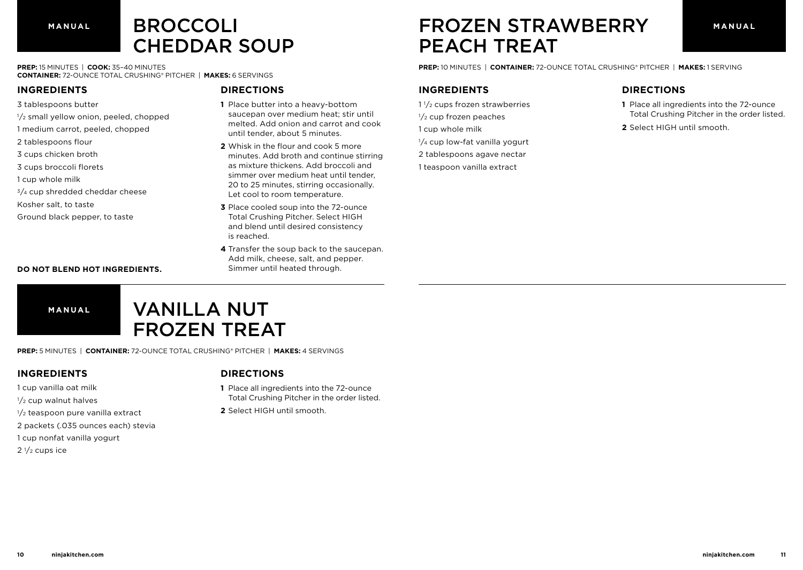## BROCCOLI CHEDDAR SOUP

**PREP:** 15 MINUTES | **COOK:** 35–40 MINUTES **CONTAINER:** 72-OUNCE TOTAL CRUSHING® PITCHER | **MAKES:** 6 SERVINGS

**INGREDIENTS**

- 3 tablespoons butter
- $1/2$  small yellow onion, peeled, chopped
- 1 medium carrot, peeled, chopped
- 2 tablespoons flour
- 3 cups chicken broth
- 3 cups broccoli florets
- 1 cup whole milk
- $3/4$  cup shredded cheddar cheese
- Kosher salt, to taste
- Ground black pepper, to taste

#### **DIRECTIONS**

- **1** Place butter into a heavy-bottom saucepan over medium heat; stir until melted. Add onion and carrot and cook until tender, about 5 minutes.
- **2** Whisk in the flour and cook 5 more minutes. Add broth and continue stirring as mixture thickens. Add broccoli and simmer over medium heat until tender, 20 to 25 minutes, stirring occasionally. Let cool to room temperature.
- **3** Place cooled soup into the 72-ounce Total Crushing Pitcher. Select HIGH and blend until desired consistency is reached.
- **4** Transfer the soup back to the saucepan. Add milk, cheese, salt, and pepper. Simmer until heated through.

### **MANUAL MANUAL** FROZEN STRAWBERRY PEACH TREAT

**PREP:** 10 MINUTES | **CONTAINER:** 72-OUNCE TOTAL CRUSHING® PITCHER | **MAKES:** 1 SERVING

#### **INGREDIENTS**

- 1 1/2 cups frozen strawberries 1/<sub>2</sub> cup frozen peaches 1 cup whole milk
- 1/4 cup low-fat vanilla yogurt
- 2 tablespoons agave nectar
- 1 teaspoon vanilla extract

#### **DIRECTIONS**

- **1** Place all ingredients into the 72-ounce Total Crushing Pitcher in the order listed.
- **2** Select HIGH until smooth.

#### **DO NOT BLEND HOT INGREDIENTS.**

**MANUAL**



**PREP:** 5 MINUTES | **CONTAINER:** 72-OUNCE TOTAL CRUSHING® PITCHER | **MAKES:** 4 SERVINGS

#### **INGREDIENTS**

- 1 cup vanilla oat milk
- 1/<sub>2</sub> cup walnut halves
- $1/2$  teaspoon pure vanilla extract
- 2 packets (.035 ounces each) stevia
- 1 cup nonfat vanilla yogurt
- $2\frac{1}{2}$  cups ice

#### **DIRECTIONS**

- **1** Place all ingredients into the 72-ounce Total Crushing Pitcher in the order listed.
- **2** Select HIGH until smooth.